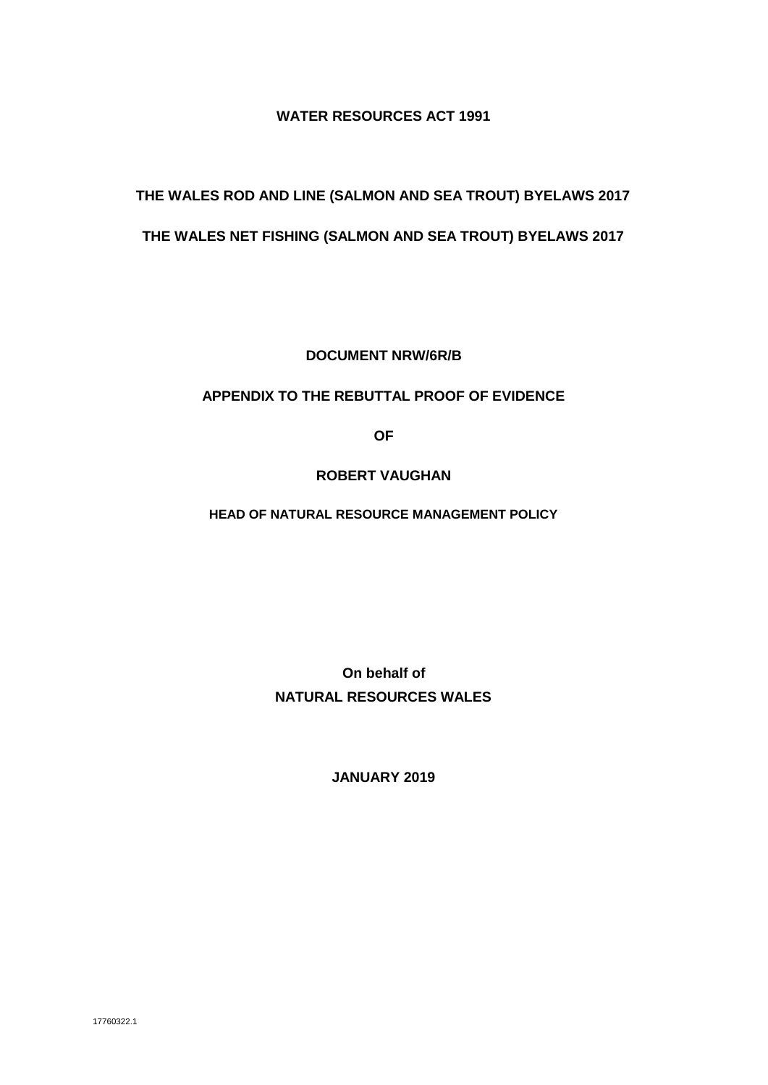## **WATER RESOURCES ACT 1991**

## **THE WALES ROD AND LINE (SALMON AND SEA TROUT) BYELAWS 2017**

## **THE WALES NET FISHING (SALMON AND SEA TROUT) BYELAWS 2017**

**DOCUMENT NRW/6R/B**

## **APPENDIX TO THE REBUTTAL PROOF OF EVIDENCE**

**OF**

## **ROBERT VAUGHAN**

**HEAD OF NATURAL RESOURCE MANAGEMENT POLICY**

**On behalf of NATURAL RESOURCES WALES**

**JANUARY 2019**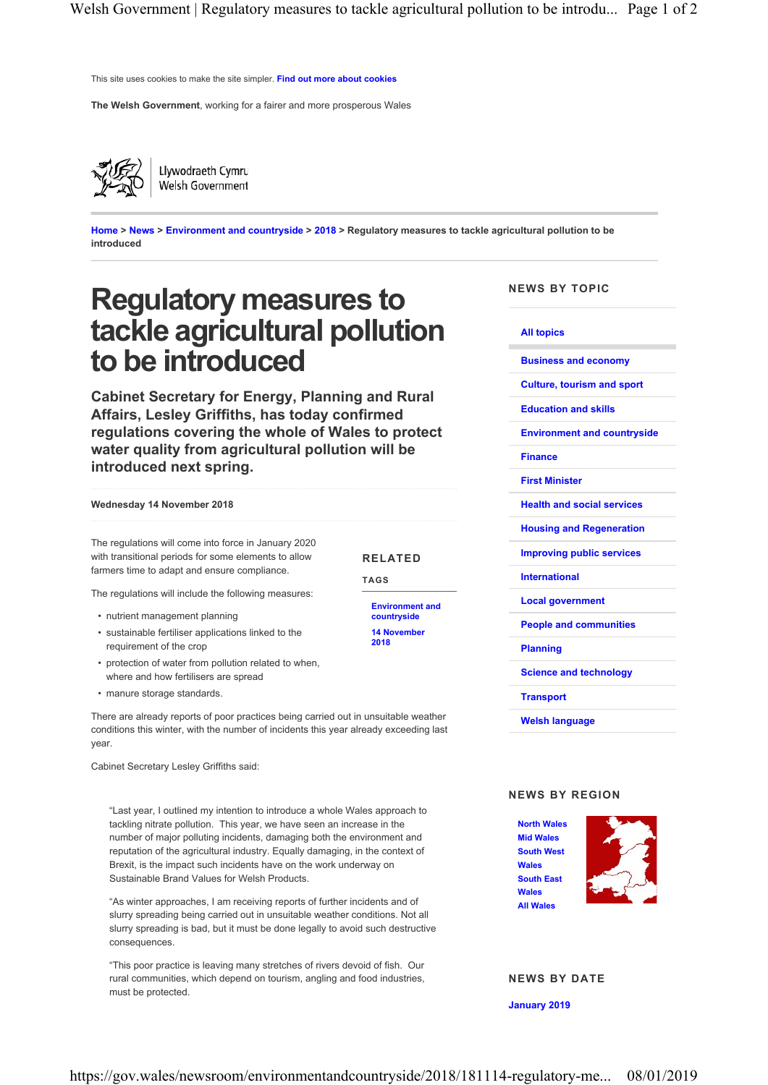This site uses cookies to make the site simpler. Find out more about cookies

The Welsh Government, working for a fairer and more prosperous Wales



Llywodraeth Cymru Welsh Government

Home > News > Environment and countryside > 2018 > Regulatory measures to tackle agricultural pollution to be introduced

# Regulatory measures to tackle agricultural pollution to be introduced

Cabinet Secretary for Energy, Planning and Rural Affairs, Lesley Griffiths, has today confirmed regulations covering the whole of Wales to protect water quality from agricultural pollution will be introduced next spring.

#### Wednesday 14 November 2018

The regulations will come into force in January 2020 with transitional periods for some elements to allow farmers time to adapt and ensure compliance.

RELATED

Environment and countryside 14 November 2018

TAGS

The regulations will include the following measures:

- nutrient management planning
- sustainable fertiliser applications linked to the requirement of the crop
- protection of water from pollution related to when, where and how fertilisers are spread
- manure storage standards.

There are already reports of poor practices being carried out in unsuitable weather conditions this winter, with the number of incidents this year already exceeding last year.

Cabinet Secretary Lesley Griffiths said:

"Last year, I outlined my intention to introduce a whole Wales approach to tackling nitrate pollution. This year, we have seen an increase in the number of major polluting incidents, damaging both the environment and reputation of the agricultural industry. Equally damaging, in the context of Brexit, is the impact such incidents have on the work underway on Sustainable Brand Values for Welsh Products.

"As winter approaches, I am receiving reports of further incidents and of slurry spreading being carried out in unsuitable weather conditions. Not all slurry spreading is bad, but it must be done legally to avoid such destructive consequences.

"This poor practice is leaving many stretches of rivers devoid of fish. Our rural communities, which depend on tourism, angling and food industries, must be protected.

NEWS BY TOPIC

#### All topics

Business and economy

Culture, tourism and sport

Education and skills

Environment and countryside

#### Finance

First Minister

Health and social services

Housing and Regeneration

Improving public services

- International
- Local government

People and communities

Planning

Science and technology

**Transport** 

Welsh language

#### NEWS BY REGION



NEWS BY DATE

January 2019